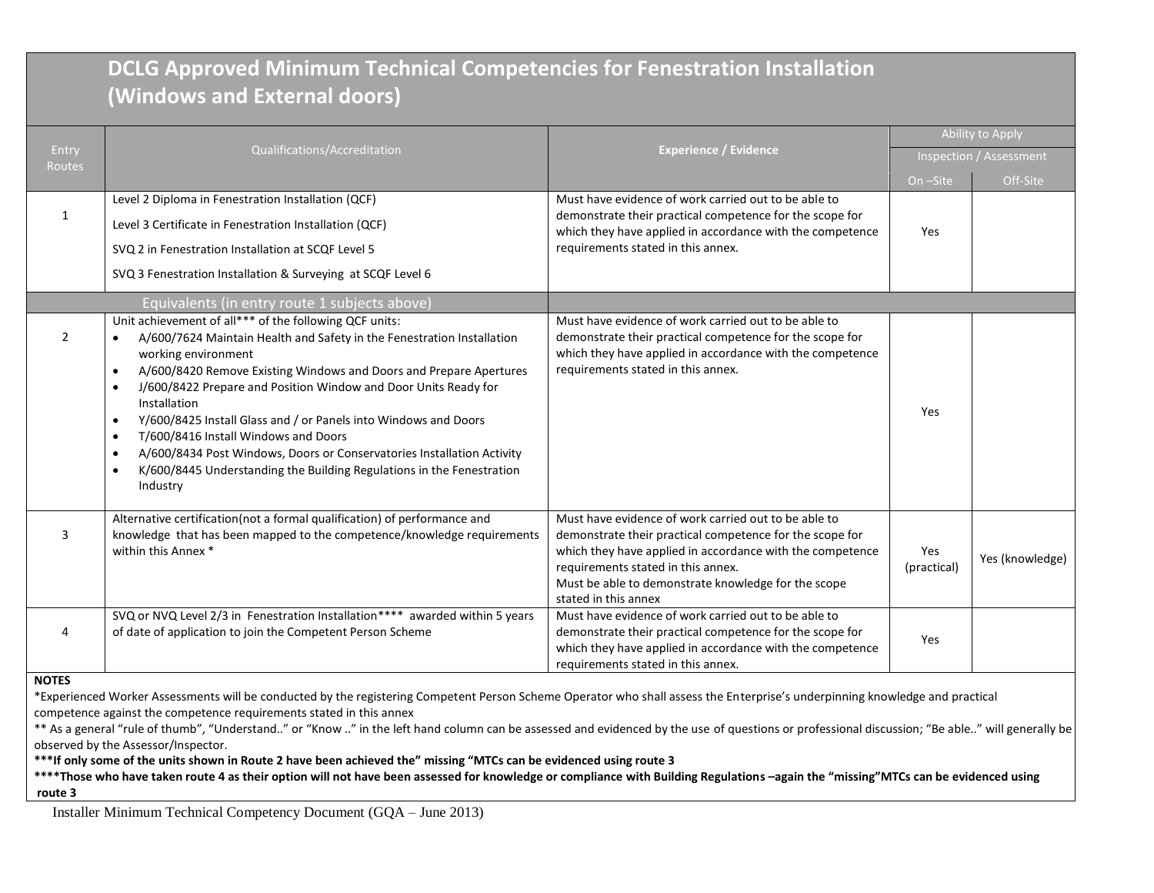## **DCLG Approved Minimum Technical Competencies for Fenestration Installation (Windows and External doors)**

|                        |                                                                                                                                                                                                                                                                                                                                                                                                                                                                                                                                                                                                                                                                          |                                                                                                                                                                                                                                                                                                    | Ability to Apply        |                 |
|------------------------|--------------------------------------------------------------------------------------------------------------------------------------------------------------------------------------------------------------------------------------------------------------------------------------------------------------------------------------------------------------------------------------------------------------------------------------------------------------------------------------------------------------------------------------------------------------------------------------------------------------------------------------------------------------------------|----------------------------------------------------------------------------------------------------------------------------------------------------------------------------------------------------------------------------------------------------------------------------------------------------|-------------------------|-----------------|
| Entry<br><b>Routes</b> | Qualifications/Accreditation                                                                                                                                                                                                                                                                                                                                                                                                                                                                                                                                                                                                                                             | <b>Experience / Evidence</b>                                                                                                                                                                                                                                                                       | Inspection / Assessment |                 |
|                        |                                                                                                                                                                                                                                                                                                                                                                                                                                                                                                                                                                                                                                                                          |                                                                                                                                                                                                                                                                                                    | On-Site                 | Off-Site        |
| 1                      | Level 2 Diploma in Fenestration Installation (QCF)<br>Level 3 Certificate in Fenestration Installation (QCF)<br>SVQ 2 in Fenestration Installation at SCQF Level 5<br>SVQ 3 Fenestration Installation & Surveying at SCQF Level 6                                                                                                                                                                                                                                                                                                                                                                                                                                        | Must have evidence of work carried out to be able to<br>demonstrate their practical competence for the scope for<br>which they have applied in accordance with the competence<br>requirements stated in this annex.                                                                                | Yes                     |                 |
|                        | Equivalents (in entry route 1 subjects above)                                                                                                                                                                                                                                                                                                                                                                                                                                                                                                                                                                                                                            |                                                                                                                                                                                                                                                                                                    |                         |                 |
| $\overline{2}$         | Unit achievement of all*** of the following QCF units:<br>A/600/7624 Maintain Health and Safety in the Fenestration Installation<br>working environment<br>A/600/8420 Remove Existing Windows and Doors and Prepare Apertures<br>$\bullet$<br>J/600/8422 Prepare and Position Window and Door Units Ready for<br>$\bullet$<br>Installation<br>Y/600/8425 Install Glass and / or Panels into Windows and Doors<br>$\bullet$<br>T/600/8416 Install Windows and Doors<br>$\bullet$<br>A/600/8434 Post Windows, Doors or Conservatories Installation Activity<br>$\bullet$<br>K/600/8445 Understanding the Building Regulations in the Fenestration<br>$\bullet$<br>Industry | Must have evidence of work carried out to be able to<br>demonstrate their practical competence for the scope for<br>which they have applied in accordance with the competence<br>requirements stated in this annex.                                                                                | Yes                     |                 |
| 3                      | Alternative certification(not a formal qualification) of performance and<br>knowledge that has been mapped to the competence/knowledge requirements<br>within this Annex *                                                                                                                                                                                                                                                                                                                                                                                                                                                                                               | Must have evidence of work carried out to be able to<br>demonstrate their practical competence for the scope for<br>which they have applied in accordance with the competence<br>requirements stated in this annex.<br>Must be able to demonstrate knowledge for the scope<br>stated in this annex | Yes<br>(practical)      | Yes (knowledge) |
| 4                      | SVQ or NVQ Level 2/3 in Fenestration Installation**** awarded within 5 years<br>of date of application to join the Competent Person Scheme                                                                                                                                                                                                                                                                                                                                                                                                                                                                                                                               | Must have evidence of work carried out to be able to<br>demonstrate their practical competence for the scope for<br>which they have applied in accordance with the competence<br>requirements stated in this annex.                                                                                | Yes                     |                 |
| <b>NOTES</b>           |                                                                                                                                                                                                                                                                                                                                                                                                                                                                                                                                                                                                                                                                          |                                                                                                                                                                                                                                                                                                    |                         |                 |

**NOTES**

\*Experienced Worker Assessments will be conducted by the registering Competent Person Scheme Operator who shall assess the Enterprise's underpinning knowledge and practical competence against the competence requirements stated in this annex

\*\* As a general "rule of thumb", "Understand.." or "Know .." in the left hand column can be assessed and evidenced by the use of questions or professional discussion; "Be able.." will generally be observed by the Assessor/Inspector.

**\*\*\*If only some of the units shown in Route 2 have been achieved the" missing "MTCs can be evidenced using route 3**

\*\*\*Those who have taken route 4 as their option will not have been assessed for knowledge or compliance with Building Regulations -again the "missing"MTCs can be evidenced using **route 3**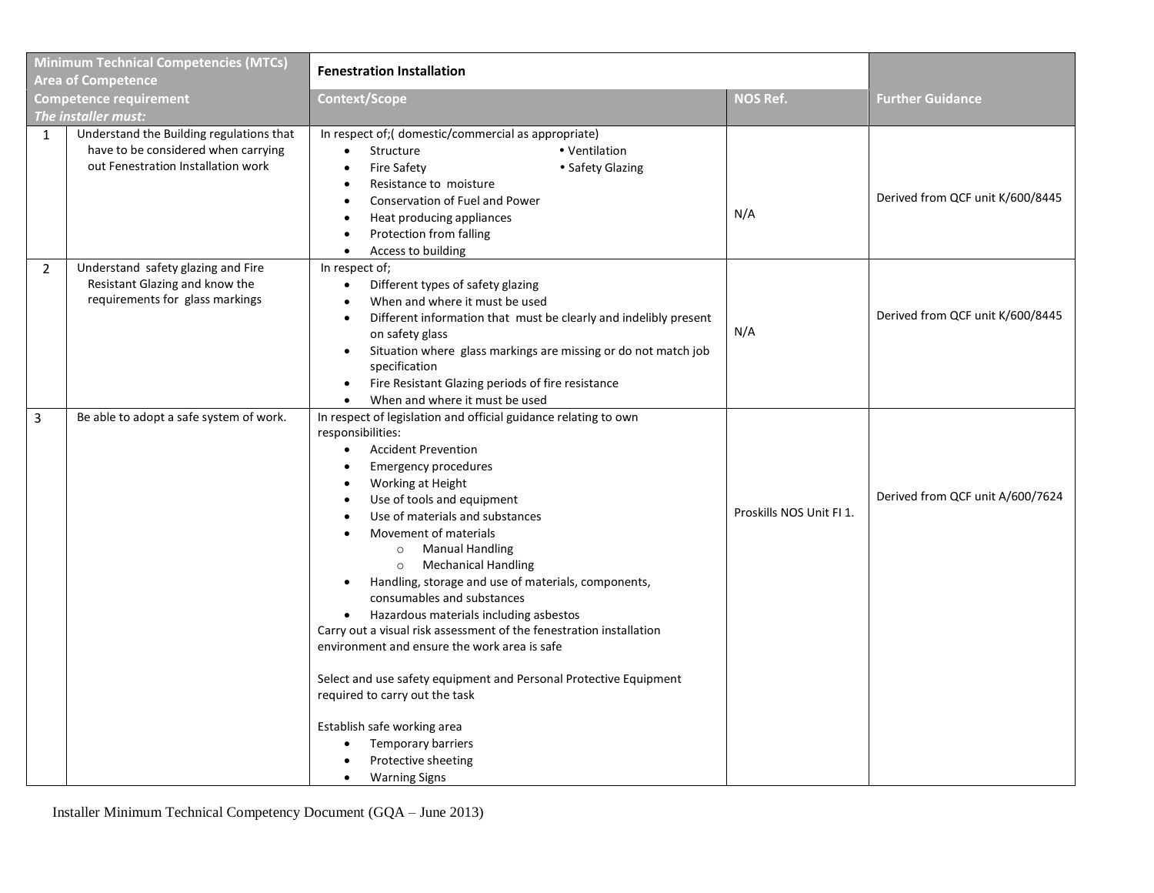| <b>Minimum Technical Competencies (MTCs)</b><br><b>Area of Competence</b> |                                                                                                                       | <b>Fenestration Installation</b>                                                                                                                                                                                                                                                                                                                                                                                                                                                                                                                                                                                                                                                                                                                                                                                                                                    |                          |                                  |
|---------------------------------------------------------------------------|-----------------------------------------------------------------------------------------------------------------------|---------------------------------------------------------------------------------------------------------------------------------------------------------------------------------------------------------------------------------------------------------------------------------------------------------------------------------------------------------------------------------------------------------------------------------------------------------------------------------------------------------------------------------------------------------------------------------------------------------------------------------------------------------------------------------------------------------------------------------------------------------------------------------------------------------------------------------------------------------------------|--------------------------|----------------------------------|
| <b>Competence requirement</b><br>The installer must:                      |                                                                                                                       | <b>Context/Scope</b>                                                                                                                                                                                                                                                                                                                                                                                                                                                                                                                                                                                                                                                                                                                                                                                                                                                | <b>NOS Ref.</b>          | <b>Further Guidance</b>          |
| $\mathbf{1}$                                                              | Understand the Building regulations that<br>have to be considered when carrying<br>out Fenestration Installation work | In respect of; (domestic/commercial as appropriate)<br>• Ventilation<br>Structure<br>$\bullet$<br>• Safety Glazing<br>Fire Safety<br>$\bullet$<br>Resistance to moisture<br>Conservation of Fuel and Power<br>Heat producing appliances<br>$\bullet$<br>Protection from falling<br>Access to building                                                                                                                                                                                                                                                                                                                                                                                                                                                                                                                                                               | N/A                      | Derived from QCF unit K/600/8445 |
| $\overline{2}$                                                            | Understand safety glazing and Fire<br>Resistant Glazing and know the<br>requirements for glass markings               | In respect of;<br>Different types of safety glazing<br>$\bullet$<br>When and where it must be used<br>$\bullet$<br>Different information that must be clearly and indelibly present<br>$\bullet$<br>on safety glass<br>Situation where glass markings are missing or do not match job<br>٠<br>specification<br>Fire Resistant Glazing periods of fire resistance<br>$\bullet$<br>When and where it must be used                                                                                                                                                                                                                                                                                                                                                                                                                                                     | N/A                      | Derived from QCF unit K/600/8445 |
| 3                                                                         | Be able to adopt a safe system of work.                                                                               | In respect of legislation and official guidance relating to own<br>responsibilities:<br><b>Accident Prevention</b><br><b>Emergency procedures</b><br>$\bullet$<br>Working at Height<br>$\bullet$<br>Use of tools and equipment<br>Use of materials and substances<br>Movement of materials<br><b>Manual Handling</b><br>$\circ$<br><b>Mechanical Handling</b><br>$\circ$<br>Handling, storage and use of materials, components,<br>$\bullet$<br>consumables and substances<br>Hazardous materials including asbestos<br>Carry out a visual risk assessment of the fenestration installation<br>environment and ensure the work area is safe<br>Select and use safety equipment and Personal Protective Equipment<br>required to carry out the task<br>Establish safe working area<br>Temporary barriers<br>Protective sheeting<br><b>Warning Signs</b><br>$\bullet$ | Proskills NOS Unit FI 1. | Derived from QCF unit A/600/7624 |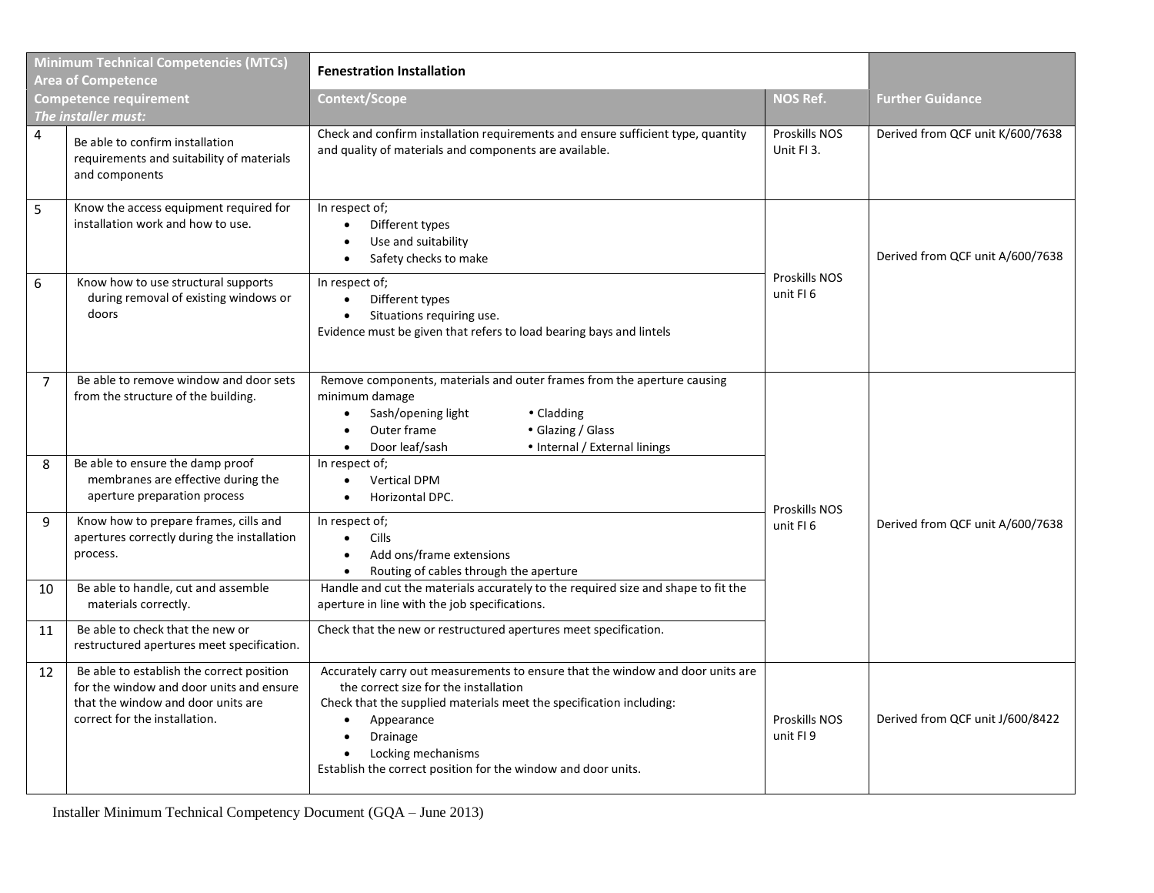| <b>Minimum Technical Competencies (MTCs)</b><br><b>Area of Competence</b> |                                                                                                                                                              | <b>Fenestration Installation</b>                                                                                                                                                                                                                                                                                                          |                                  |                                  |  |
|---------------------------------------------------------------------------|--------------------------------------------------------------------------------------------------------------------------------------------------------------|-------------------------------------------------------------------------------------------------------------------------------------------------------------------------------------------------------------------------------------------------------------------------------------------------------------------------------------------|----------------------------------|----------------------------------|--|
| <b>Competence requirement</b><br>The installer must:                      |                                                                                                                                                              | Context/Scope                                                                                                                                                                                                                                                                                                                             | <b>NOS Ref.</b>                  | <b>Further Guidance</b>          |  |
| 4                                                                         | Be able to confirm installation<br>requirements and suitability of materials<br>and components                                                               | Check and confirm installation requirements and ensure sufficient type, quantity<br>and quality of materials and components are available.                                                                                                                                                                                                | Proskills NOS<br>Unit FI 3.      | Derived from QCF unit K/600/7638 |  |
| 5                                                                         | Know the access equipment required for<br>installation work and how to use.                                                                                  | In respect of;<br>Different types<br>Use and suitability<br>Safety checks to make<br>٠                                                                                                                                                                                                                                                    |                                  | Derived from QCF unit A/600/7638 |  |
| 6                                                                         | Know how to use structural supports<br>during removal of existing windows or<br>doors                                                                        | In respect of;<br>Different types<br>$\bullet$<br>Situations requiring use.<br>$\bullet$<br>Evidence must be given that refers to load bearing bays and lintels                                                                                                                                                                           | <b>Proskills NOS</b><br>unit FI6 |                                  |  |
| 7                                                                         | Be able to remove window and door sets<br>from the structure of the building.                                                                                | Remove components, materials and outer frames from the aperture causing<br>minimum damage<br>Sash/opening light<br>• Cladding<br>Outer frame<br>• Glazing / Glass<br>Door leaf/sash<br>• Internal / External linings<br>$\bullet$                                                                                                         |                                  | Derived from QCF unit A/600/7638 |  |
| 8                                                                         | Be able to ensure the damp proof<br>membranes are effective during the<br>aperture preparation process                                                       | In respect of;<br><b>Vertical DPM</b><br>Horizontal DPC.                                                                                                                                                                                                                                                                                  | <b>Proskills NOS</b>             |                                  |  |
| 9                                                                         | Know how to prepare frames, cills and<br>apertures correctly during the installation<br>process.                                                             | In respect of;<br><b>Cills</b><br>$\bullet$<br>Add ons/frame extensions<br>Routing of cables through the aperture                                                                                                                                                                                                                         | unit FI6                         |                                  |  |
| 10                                                                        | Be able to handle, cut and assemble<br>materials correctly.                                                                                                  | Handle and cut the materials accurately to the required size and shape to fit the<br>aperture in line with the job specifications.                                                                                                                                                                                                        |                                  |                                  |  |
| 11                                                                        | Be able to check that the new or<br>restructured apertures meet specification.                                                                               | Check that the new or restructured apertures meet specification.                                                                                                                                                                                                                                                                          |                                  |                                  |  |
| 12                                                                        | Be able to establish the correct position<br>for the window and door units and ensure<br>that the window and door units are<br>correct for the installation. | Accurately carry out measurements to ensure that the window and door units are<br>the correct size for the installation<br>Check that the supplied materials meet the specification including:<br>Appearance<br>Drainage<br>$\bullet$<br>Locking mechanisms<br>$\bullet$<br>Establish the correct position for the window and door units. | <b>Proskills NOS</b><br>unit FI9 | Derived from QCF unit J/600/8422 |  |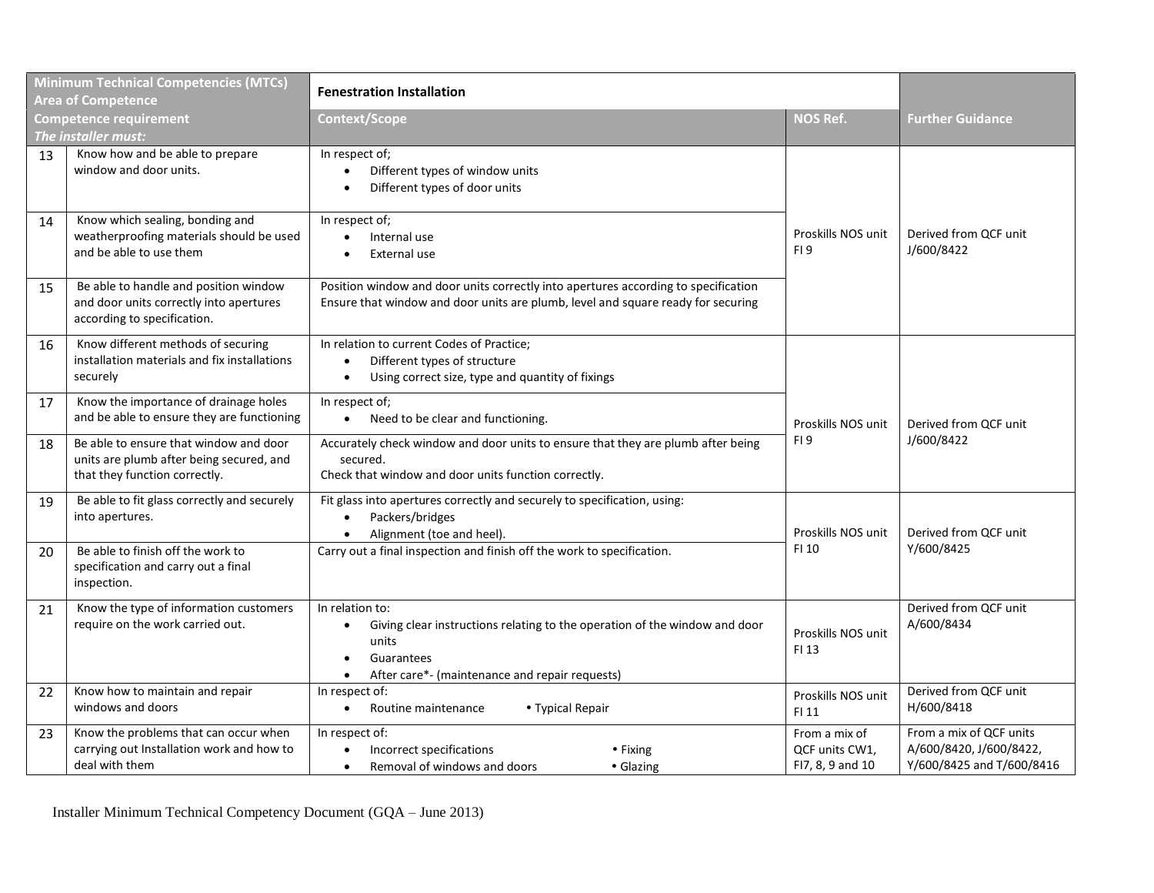| <b>Minimum Technical Competencies (MTCs)</b><br><b>Area of Competence</b> |                                                                                                                     | <b>Fenestration Installation</b>                                                                                                                                                                      |                                                     |                                                                                 |
|---------------------------------------------------------------------------|---------------------------------------------------------------------------------------------------------------------|-------------------------------------------------------------------------------------------------------------------------------------------------------------------------------------------------------|-----------------------------------------------------|---------------------------------------------------------------------------------|
| <b>Competence requirement</b><br>The installer must:                      |                                                                                                                     | Context/Scope                                                                                                                                                                                         | <b>NOS Ref.</b>                                     | <b>Further Guidance</b>                                                         |
| 13                                                                        | Know how and be able to prepare<br>window and door units.                                                           | In respect of;<br>Different types of window units<br>$\bullet$<br>Different types of door units                                                                                                       |                                                     |                                                                                 |
| 14                                                                        | Know which sealing, bonding and<br>weatherproofing materials should be used<br>and be able to use them              | In respect of;<br>Internal use<br>$\bullet$<br>External use                                                                                                                                           | Proskills NOS unit<br>FI <sub>9</sub>               | Derived from QCF unit<br>J/600/8422                                             |
| 15                                                                        | Be able to handle and position window<br>and door units correctly into apertures<br>according to specification.     | Position window and door units correctly into apertures according to specification<br>Ensure that window and door units are plumb, level and square ready for securing                                |                                                     |                                                                                 |
| 16                                                                        | Know different methods of securing<br>installation materials and fix installations<br>securely                      | In relation to current Codes of Practice;<br>Different types of structure<br>Using correct size, type and quantity of fixings<br>$\bullet$                                                            |                                                     |                                                                                 |
| 17                                                                        | Know the importance of drainage holes<br>and be able to ensure they are functioning                                 | In respect of;<br>Need to be clear and functioning.<br>$\bullet$                                                                                                                                      | Proskills NOS unit                                  | Derived from OCF unit<br>J/600/8422                                             |
| 18                                                                        | Be able to ensure that window and door<br>units are plumb after being secured, and<br>that they function correctly. | Accurately check window and door units to ensure that they are plumb after being<br>secured.<br>Check that window and door units function correctly.                                                  | FI <sub>9</sub>                                     |                                                                                 |
| 19                                                                        | Be able to fit glass correctly and securely<br>into apertures.                                                      | Fit glass into apertures correctly and securely to specification, using:<br>Packers/bridges<br>Alignment (toe and heel).                                                                              | Proskills NOS unit                                  | Derived from QCF unit                                                           |
| 20                                                                        | Be able to finish off the work to<br>specification and carry out a final<br>inspection.                             | Carry out a final inspection and finish off the work to specification.                                                                                                                                | FI 10                                               | Y/600/8425                                                                      |
| 21                                                                        | Know the type of information customers<br>require on the work carried out.                                          | In relation to:<br>Giving clear instructions relating to the operation of the window and door<br>$\bullet$<br>units<br>Guarantees<br>٠<br>After care*- (maintenance and repair requests)<br>$\bullet$ | Proskills NOS unit<br>FI 13                         | Derived from QCF unit<br>A/600/8434                                             |
| 22                                                                        | Know how to maintain and repair<br>windows and doors                                                                | In respect of:<br>Routine maintenance<br>• Typical Repair<br>$\bullet$                                                                                                                                | Proskills NOS unit<br>FI 11                         | Derived from QCF unit<br>H/600/8418                                             |
| 23                                                                        | Know the problems that can occur when<br>carrying out Installation work and how to<br>deal with them                | In respect of:<br>Incorrect specifications<br>$\bullet$ Fixing<br>$\bullet$<br>Removal of windows and doors<br>• Glazing<br>$\bullet$                                                                 | From a mix of<br>QCF units CW1,<br>FI7, 8, 9 and 10 | From a mix of QCF units<br>A/600/8420, J/600/8422,<br>Y/600/8425 and T/600/8416 |